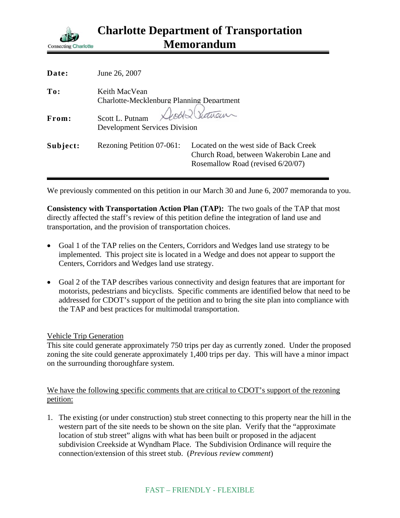

| Date:    | June 26, 2007                                                           |                                                                                                                        |
|----------|-------------------------------------------------------------------------|------------------------------------------------------------------------------------------------------------------------|
| To:      | Keith MacVean<br><b>Charlotte-Mecklenburg Planning Department</b>       |                                                                                                                        |
| From:    | Death Showan<br>Scott L. Putnam<br><b>Development Services Division</b> |                                                                                                                        |
| Subject: | Rezoning Petition 07-061:                                               | Located on the west side of Back Creek<br>Church Road, between Wakerobin Lane and<br>Rosemallow Road (revised 6/20/07) |

We previously commented on this petition in our March 30 and June 6, 2007 memoranda to you.

**Consistency with Transportation Action Plan (TAP):** The two goals of the TAP that most directly affected the staff's review of this petition define the integration of land use and transportation, and the provision of transportation choices.

- Goal 1 of the TAP relies on the Centers, Corridors and Wedges land use strategy to be implemented. This project site is located in a Wedge and does not appear to support the Centers, Corridors and Wedges land use strategy.
- Goal 2 of the TAP describes various connectivity and design features that are important for motorists, pedestrians and bicyclists. Specific comments are identified below that need to be addressed for CDOT's support of the petition and to bring the site plan into compliance with the TAP and best practices for multimodal transportation.

## Vehicle Trip Generation

This site could generate approximately 750 trips per day as currently zoned. Under the proposed zoning the site could generate approximately 1,400 trips per day. This will have a minor impact on the surrounding thoroughfare system.

## We have the following specific comments that are critical to CDOT's support of the rezoning petition:

1. The existing (or under construction) stub street connecting to this property near the hill in the western part of the site needs to be shown on the site plan. Verify that the "approximate location of stub street" aligns with what has been built or proposed in the adjacent subdivision Creekside at Wyndham Place. The Subdivision Ordinance will require the connection/extension of this street stub. (*Previous review comment*)